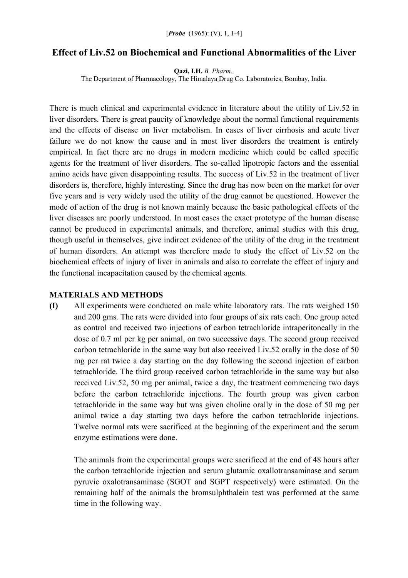# **Effect of Liv.52 on Biochemical and Functional Abnormalities of the Liver**

**Qazi, I.H.** *B. Pharm.,* 

The Department of Pharmacology, The Himalaya Drug Co. Laboratories, Bombay, India.

There is much clinical and experimental evidence in literature about the utility of Liv.52 in liver disorders. There is great paucity of knowledge about the normal functional requirements and the effects of disease on liver metabolism. In cases of liver cirrhosis and acute liver failure we do not know the cause and in most liver disorders the treatment is entirely empirical. In fact there are no drugs in modern medicine which could be called specific agents for the treatment of liver disorders. The so-called lipotropic factors and the essential amino acids have given disappointing results. The success of Liv.52 in the treatment of liver disorders is, therefore, highly interesting. Since the drug has now been on the market for over five years and is very widely used the utility of the drug cannot be questioned. However the mode of action of the drug is not known mainly because the basic pathological effects of the liver diseases are poorly understood. In most cases the exact prototype of the human disease cannot be produced in experimental animals, and therefore, animal studies with this drug, though useful in themselves, give indirect evidence of the utility of the drug in the treatment of human disorders. An attempt was therefore made to study the effect of Liv.52 on the biochemical effects of injury of liver in animals and also to correlate the effect of injury and the functional incapacitation caused by the chemical agents.

#### **MATERIALS AND METHODS**

**(I)** All experiments were conducted on male white laboratory rats. The rats weighed 150 and 200 gms. The rats were divided into four groups of six rats each. One group acted as control and received two injections of carbon tetrachloride intraperitoneally in the dose of 0.7 ml per kg per animal, on two successive days. The second group received carbon tetrachloride in the same way but also received Liv.52 orally in the dose of 50 mg per rat twice a day starting on the day following the second injection of carbon tetrachloride. The third group received carbon tetrachloride in the same way but also received Liv.52, 50 mg per animal, twice a day, the treatment commencing two days before the carbon tetrachloride injections. The fourth group was given carbon tetrachloride in the same way but was given choline orally in the dose of 50 mg per animal twice a day starting two days before the carbon tetrachloride injections. Twelve normal rats were sacrificed at the beginning of the experiment and the serum enzyme estimations were done.

The animals from the experimental groups were sacrificed at the end of 48 hours after the carbon tetrachloride injection and serum glutamic oxallotransaminase and serum pyruvic oxalotransaminase (SGOT and SGPT respectively) were estimated. On the remaining half of the animals the bromsulphthalein test was performed at the same time in the following way.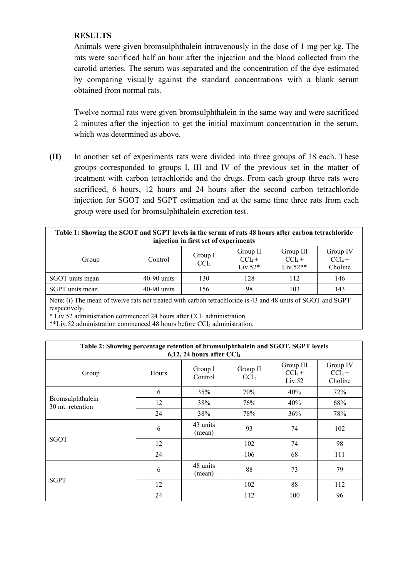## **RESULTS**

Animals were given bromsulphthalein intravenously in the dose of 1 mg per kg. The rats were sacrificed half an hour after the injection and the blood collected from the carotid arteries. The serum was separated and the concentration of the dye estimated by comparing visually against the standard concentrations with a blank serum obtained from normal rats.

Twelve normal rats were given bromsulphthalein in the same way and were sacrificed 2 minutes after the injection to get the initial maximum concentration in the serum, which was determined as above.

**(II)** In another set of experiments rats were divided into three groups of 18 each. These groups corresponded to groups I, III and IV of the previous set in the matter of treatment with carbon tetrachloride and the drugs. From each group three rats were sacrificed, 6 hours, 12 hours and 24 hours after the second carbon tetrachloride injection for SGOT and SGPT estimation and at the same time three rats from each group were used for bromsulphthalein excretion test.

| Table 1: Showing the SGOT and SGPT levels in the serum of rats 48 hours after carbon tetrachloride<br>injection in first set of experiments |               |                             |                                    |                                      |                                  |  |  |  |
|---------------------------------------------------------------------------------------------------------------------------------------------|---------------|-----------------------------|------------------------------------|--------------------------------------|----------------------------------|--|--|--|
| Group                                                                                                                                       | Control       | Group I<br>CCl <sub>4</sub> | Group II<br>$CCl_4 +$<br>$Liv.52*$ | Group III<br>$CCl_4 +$<br>$Liv.52**$ | Group IV<br>$CCl_4 +$<br>Choline |  |  |  |
| SGOT units mean                                                                                                                             | $40-90$ units | 130                         | 128                                | 112                                  | 146                              |  |  |  |
| SGPT units mean                                                                                                                             | $40-90$ units | 156                         | 98                                 | 103                                  | 143                              |  |  |  |

Note: (i) The mean of twelve rats not treated with carbon tetrachloride is 43 and 48 units of SGOT and SGPT respectively.

 $*$  Liv.52 administration commenced 24 hours after CCL administration

 $*$ Liv.52 administration commenced 48 hours before CCl<sub>4</sub> administration.

| Table 2: Showing percentage retention of bromsulphthalein and SGOT, SGPT levels<br>6,12, 24 hours after $CCl4$ |       |                    |                              |                                  |                                  |  |  |  |  |
|----------------------------------------------------------------------------------------------------------------|-------|--------------------|------------------------------|----------------------------------|----------------------------------|--|--|--|--|
| Group                                                                                                          | Hours | Group I<br>Control | Group II<br>CCl <sub>4</sub> | Group III<br>$CCl_4 +$<br>Liv.52 | Group IV<br>$CCl_4 +$<br>Choline |  |  |  |  |
| Bromsulphthalein<br>30 mt. retention                                                                           | 6     | 35%                | 70%                          | 40%                              | 72%                              |  |  |  |  |
|                                                                                                                | 12    | 38%                | 76%                          | 40%                              | 68%                              |  |  |  |  |
|                                                                                                                | 24    | 38%                | 78%                          | 36%                              | 78%                              |  |  |  |  |
| SGOT                                                                                                           | 6     | 43 units<br>(mean) | 93                           | 74                               | 102                              |  |  |  |  |
|                                                                                                                | 12    |                    | 102                          | 74                               | 98                               |  |  |  |  |
|                                                                                                                | 24    |                    | 106                          | 68                               | 111                              |  |  |  |  |
| <b>SGPT</b>                                                                                                    | 6     | 48 units<br>(mean) | 88                           | 73                               | 79                               |  |  |  |  |
|                                                                                                                | 12    |                    | 102                          | 88                               | 112                              |  |  |  |  |
|                                                                                                                | 24    |                    | 112                          | 100                              | 96                               |  |  |  |  |